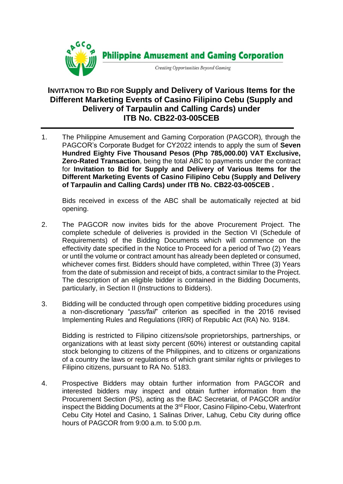

## **INVITATION TO BID FOR Supply and Delivery of Various Items for the Different Marketing Events of Casino Filipino Cebu (Supply and Delivery of Tarpaulin and Calling Cards) under ITB No. CB22-03-005CEB**

1. The Philippine Amusement and Gaming Corporation (PAGCOR)*,* through the PAGCOR's Corporate Budget for CY2022 intends to apply the sum of **Seven Hundred Eighty Five Thousand Pesos (Php 785,000.00) VAT Exclusive, Zero-Rated Transaction**, being the total ABC to payments under the contract for **Invitation to Bid for Supply and Delivery of Various Items for the Different Marketing Events of Casino Filipino Cebu (Supply and Delivery of Tarpaulin and Calling Cards) under ITB No. CB22-03-005CEB .**

Bids received in excess of the ABC shall be automatically rejected at bid opening.

- 2. The PAGCOR now invites bids for the above Procurement Project. The complete schedule of deliveries is provided in the Section VI (Schedule of Requirements) of the Bidding Documents which will commence on the effectivity date specified in the Notice to Proceed for a period of Two (2) Years or until the volume or contract amount has already been depleted or consumed, whichever comes first. Bidders should have completed, within Three (3) Years from the date of submission and receipt of bids, a contract similar to the Project. The description of an eligible bidder is contained in the Bidding Documents, particularly, in Section II (Instructions to Bidders).
- 3. Bidding will be conducted through open competitive bidding procedures using a non-discretionary "*pass/fail*" criterion as specified in the 2016 revised Implementing Rules and Regulations (IRR) of Republic Act (RA) No. 9184.

Bidding is restricted to Filipino citizens/sole proprietorships, partnerships, or organizations with at least sixty percent (60%) interest or outstanding capital stock belonging to citizens of the Philippines, and to citizens or organizations of a country the laws or regulations of which grant similar rights or privileges to Filipino citizens, pursuant to RA No. 5183.

4. Prospective Bidders may obtain further information from PAGCOR and interested bidders may inspect and obtain further information from the Procurement Section (PS), acting as the BAC Secretariat, of PAGCOR and/or inspect the Bidding Documents at the 3rd Floor, Casino Filipino-Cebu, Waterfront Cebu City Hotel and Casino, 1 Salinas Driver, Lahug, Cebu City during office hours of PAGCOR from 9:00 a.m. to 5:00 p.m.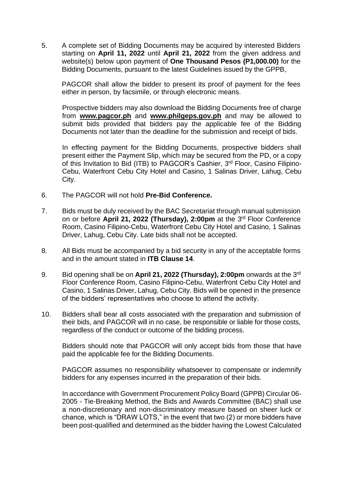5. A complete set of Bidding Documents may be acquired by interested Bidders starting on **April 11, 2022** until **April 21, 2022** from the given address and website(s) below upon payment of **One Thousand Pesos (P1,000.00)** for the Bidding Documents, pursuant to the latest Guidelines issued by the GPPB,

PAGCOR shall allow the bidder to present its proof of payment for the fees either in person, by facsimile, or through electronic means.

Prospective bidders may also download the Bidding Documents free of charge from **[www.pagcor.ph](http://www.pagcor.ph/)** and **www.philgeps.gov.ph** and may be allowed to submit bids provided that bidders pay the applicable fee of the Bidding Documents not later than the deadline for the submission and receipt of bids.

In effecting payment for the Bidding Documents, prospective bidders shall present either the Payment Slip, which may be secured from the PD, or a copy of this Invitation to Bid (ITB) to PAGCOR's Cashier, 3<sup>rd</sup> Floor, Casino Filipino-Cebu, Waterfront Cebu City Hotel and Casino, 1 Salinas Driver, Lahug, Cebu City.

- 6. The PAGCOR will not hold **Pre-Bid Conference.**
- 7. Bids must be duly received by the BAC Secretariat through manual submission on or before April 21, 2022 (Thursday), 2:00pm at the 3<sup>rd</sup> Floor Conference Room, Casino Filipino-Cebu, Waterfront Cebu City Hotel and Casino, 1 Salinas Driver, Lahug, Cebu City. Late bids shall not be accepted.
- 8. All Bids must be accompanied by a bid security in any of the acceptable forms and in the amount stated in **ITB Clause 14**.
- 9. Bid opening shall be on April 21, 2022 (Thursday), 2:00pm onwards at the 3<sup>rd</sup> Floor Conference Room, Casino Filipino-Cebu, Waterfront Cebu City Hotel and Casino, 1 Salinas Driver, Lahug, Cebu City. Bids will be opened in the presence of the bidders' representatives who choose to attend the activity.
- 10. Bidders shall bear all costs associated with the preparation and submission of their bids, and PAGCOR will in no case, be responsible or liable for those costs, regardless of the conduct or outcome of the bidding process.

Bidders should note that PAGCOR will only accept bids from those that have paid the applicable fee for the Bidding Documents.

PAGCOR assumes no responsibility whatsoever to compensate or indemnify bidders for any expenses incurred in the preparation of their bids.

In accordance with Government Procurement Policy Board (GPPB) Circular 06- 2005 - Tie-Breaking Method, the Bids and Awards Committee (BAC) shall use a non-discretionary and non-discriminatory measure based on sheer luck or chance, which is "DRAW LOTS," in the event that two (2) or more bidders have been post-qualified and determined as the bidder having the Lowest Calculated